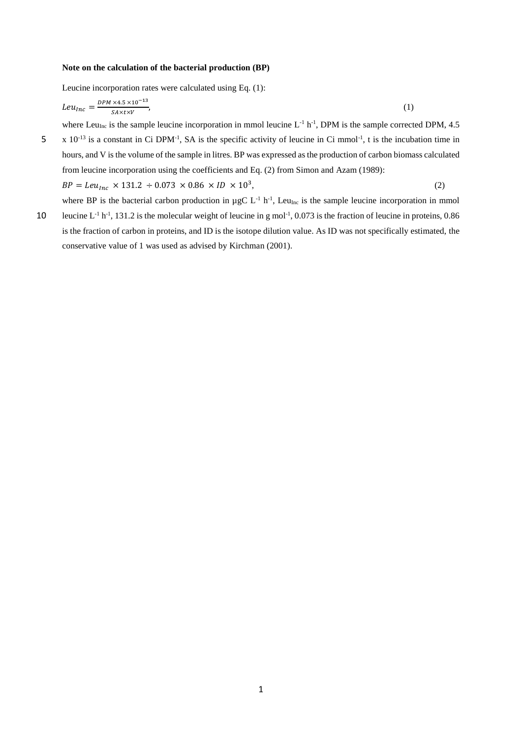## **Note on the calculation of the bacterial production (BP)**

Leucine incorporation rates were calculated using Eq. (1):

$$
Leu_{Inc} = \frac{DPM \times 4.5 \times 10^{-13}}{SA \times t \times V},\tag{1}
$$

where Leu<sub>Inc</sub> is the sample leucine incorporation in mmol leucine L<sup>-1</sup> h<sup>-1</sup>, DPM is the sample corrected DPM, 4.5

 $5 \times 10^{-13}$  is a constant in Ci DPM<sup>-1</sup>, SA is the specific activity of leucine in Ci mmol<sup>-1</sup>, t is the incubation time in hours, and V is the volume of the sample in litres. BP was expressed as the production of carbon biomass calculated from leucine incorporation using the coefficients and Eq. (2) from Simon and Azam (1989):  $BP = Leu_{Inc} \times 131.2 \div 0.073 \times 0.86 \times ID \times 10^3$ ,  $,$  (2)

where BP is the bacterial carbon production in  $\mu$ gC L<sup>-1</sup> h<sup>-1</sup>, Leu<sub>Inc</sub> is the sample leucine incorporation in mmol

10 leucine  $L^{-1}$  h<sup>-1</sup>, 131.2 is the molecular weight of leucine in g mol<sup>-1</sup>, 0.073 is the fraction of leucine in proteins, 0.86 is the fraction of carbon in proteins, and ID is the isotope dilution value. As ID was not specifically estimated, the conservative value of 1 was used as advised by Kirchman (2001).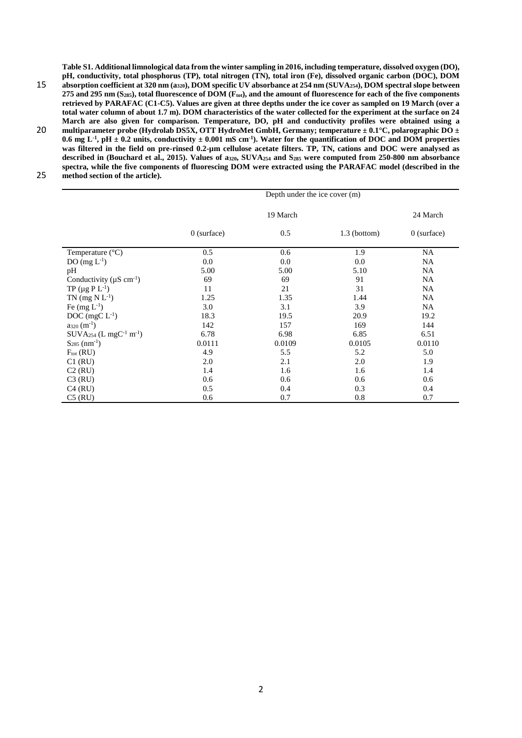**Table S1. Additional limnological data from the winter sampling in 2016, including temperature, dissolved oxygen (DO), pH, conductivity, total phosphorus (TP), total nitrogen (TN), total iron (Fe), dissolved organic carbon (DOC), DOM**  15 **absorption coefficient at 320 nm (a320), DOM specific UV absorbance at 254 nm (SUVA254), DOM spectral slope between 275 and 295 nm (S285), total fluorescence of DOM (Ftot), and the amount of fluorescence for each of the five components retrieved by PARAFAC (C1-C5). Values are given at three depths under the ice cover as sampled on 19 March (over a total water column of about 1.7 m). DOM characteristics of the water collected for the experiment at the surface on 24** 

**March are also given for comparison. Temperature, DO, pH and conductivity profiles were obtained using a**  20 **multiparameter probe (Hydrolab DS5X, OTT HydroMet GmbH, Germany; temperature ± 0.1°C, polarographic DO ±**  0.6 mg  $L^{-1}$ ,  $pH \pm 0.2$  units, conductivity  $\pm 0.001$  mS cm<sup>-1</sup>). Water for the quantification of DOC and DOM properties was filtered in the field on pre-rinsed 0.2-µm cellulose acetate filters. TP, TN, cations and DOC were analysed as **described in (Bouchard et al., 2015). Values of a320, SUVA<sup>254</sup> and S<sup>285</sup> were computed from 250-800 nm absorbance spectra, while the five components of fluorescing DOM were extracted using the PARAFAC model (described in the**  25 **method section of the article).**

|                                                  | Depth under the ice cover (m) |        |                |               |
|--------------------------------------------------|-------------------------------|--------|----------------|---------------|
|                                                  | 19 March                      |        |                | 24 March      |
|                                                  | $0$ (surface)                 | 0.5    | $1.3$ (bottom) | $0$ (surface) |
| Temperature $(^{\circ}C)$                        | 0.5                           | 0.6    | 1.9            | NA.           |
| $DO(mg L-1)$                                     | 0.0                           | 0.0    | 0.0            | NA.           |
| pH                                               | 5.00                          | 5.00   | 5.10           | NA            |
| Conductivity ( $\mu$ S cm <sup>-1</sup> )        | 69                            | 69     | 91             | NA.           |
| TP ( $\mu$ g P L <sup>-1</sup> )                 | 11                            | 21     | 31             | NA.           |
| $TN$ (mg $N L^{-1}$ )                            | 1.25                          | 1.35   | 1.44           | NA.           |
| Fe $(mg L^{-1})$                                 | 3.0                           | 3.1    | 3.9            | NA.           |
| $DOC$ (mgC $L^{-1}$ )                            | 18.3                          | 19.5   | 20.9           | 19.2          |
| $a_{320}$ (m <sup>-1</sup> )                     | 142                           | 157    | 169            | 144           |
| $SUVA254$ (L mgC <sup>-1</sup> m <sup>-1</sup> ) | 6.78                          | 6.98   | 6.85           | 6.51          |
| $S285$ (nm <sup>-1</sup> )                       | 0.0111                        | 0.0109 | 0.0105         | 0.0110        |
| $F_{\text{tot}}(RU)$                             | 4.9                           | 5.5    | 5.2            | 5.0           |
| $Cl$ (RU)                                        | 2.0                           | 2.1    | 2.0            | 1.9           |
| $C2$ (RU)                                        | 1.4                           | 1.6    | 1.6            | 1.4           |
| $C3$ (RU)                                        | 0.6                           | 0.6    | 0.6            | 0.6           |
| $C4$ (RU)                                        | 0.5                           | 0.4    | 0.3            | 0.4           |
| $C5$ (RU)                                        | 0.6                           | 0.7    | 0.8            | 0.7           |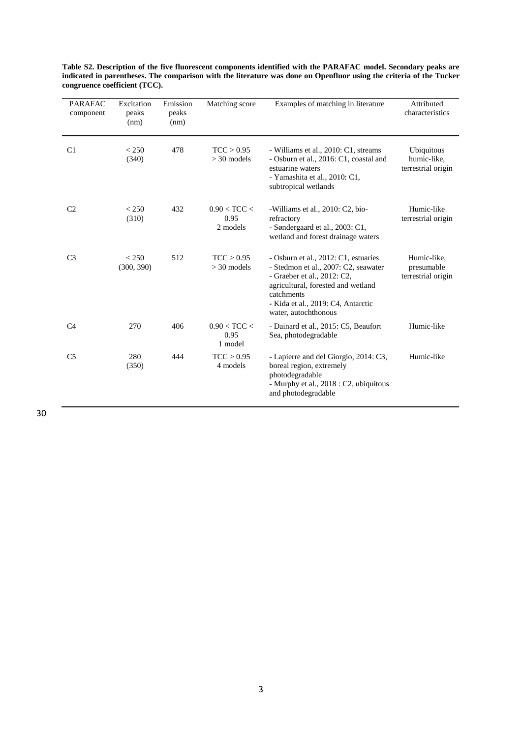| <b>PARAFAC</b><br>component | Excitation<br>peaks<br>(nm) | Emission<br>peaks<br>(nm) | Matching score                   | Examples of matching in literature                                                                                                                                                                                            | Attributed<br>characteristics                   |
|-----------------------------|-----------------------------|---------------------------|----------------------------------|-------------------------------------------------------------------------------------------------------------------------------------------------------------------------------------------------------------------------------|-------------------------------------------------|
| C <sub>1</sub>              | < 250<br>(340)              | 478                       | TCC > 0.95<br>$>$ 30 models      | - Williams et al., 2010: C1, streams<br>- Osburn et al., 2016: C1, coastal and<br>estuarine waters<br>- Yamashita et al., 2010: C1,<br>subtropical wetlands                                                                   | Ubiquitous<br>humic-like,<br>terrestrial origin |
| C <sub>2</sub>              | < 250<br>(310)              | 432                       | 0.90 < TCC <<br>0.95<br>2 models | -Williams et al., 2010: C2, bio-<br>refractory<br>- Søndergaard et al., 2003: C1,<br>wetland and forest drainage waters                                                                                                       | Humic-like<br>terrestrial origin                |
| C <sub>3</sub>              | < 250<br>(300, 390)         | 512                       | TCC > 0.95<br>$>$ 30 models      | - Osburn et al., 2012: C1, estuaries<br>- Stedmon et al., 2007: C2, seawater<br>- Graeber et al., 2012: C2,<br>agricultural, forested and wetland<br>catchments<br>- Kida et al., 2019: C4, Antarctic<br>water, autochthonous | Humic-like,<br>presumable<br>terrestrial origin |
| C <sub>4</sub>              | 270                         | 406                       | 0.90 < TCC <<br>0.95<br>1 model  | - Dainard et al., 2015: C5, Beaufort<br>Sea, photodegradable                                                                                                                                                                  | Humic-like                                      |
| C <sub>5</sub>              | 280<br>(350)                | 444                       | TCC > 0.95<br>4 models           | - Lapierre and del Giorgio, 2014: C3,<br>boreal region, extremely<br>photodegradable<br>- Murphy et al., 2018 : C2, ubiquitous<br>and photodegradable                                                                         | Humic-like                                      |

**Table S2. Description of the five fluorescent components identified with the PARAFAC model. Secondary peaks are indicated in parentheses. The comparison with the literature was done on Openfluor using the criteria of the Tucker congruence coefficient (TCC).**

30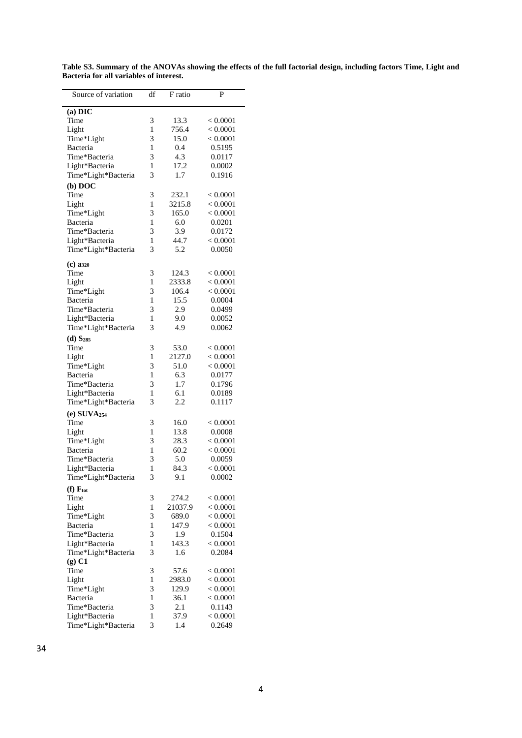| Source of variation       | df | F ratio | P        |
|---------------------------|----|---------|----------|
| $(a)$ DIC                 |    |         |          |
| Time                      | 3  | 13.3    | < 0.0001 |
| Light                     | 1  | 756.4   | < 0.0001 |
| Time*Light                | 3  | 15.0    | < 0.0001 |
| Bacteria                  | 1  | 0.4     | 0.5195   |
| Time*Bacteria             | 3  | 4.3     | 0.0117   |
| Light*Bacteria            | 1  | 17.2    | 0.0002   |
| Time*Light*Bacteria       | 3  | 1.7     | 0.1916   |
|                           |    |         |          |
| $(b)$ DOC                 |    |         |          |
| Time                      | 3  | 232.1   | < 0.0001 |
| Light                     | 1  | 3215.8  | < 0.0001 |
| Time*Light                | 3  | 165.0   | < 0.0001 |
| Bacteria                  | 1  | 6.0     | 0.0201   |
| Time*Bacteria             | 3  | 3.9     | 0.0172   |
| Light*Bacteria            | 1  | 44.7    | < 0.0001 |
| Time*Light*Bacteria       | 3  | 5.2     | 0.0050   |
| $(c)$ a <sub>320</sub>    |    |         |          |
| Time                      | 3  | 124.3   | < 0.0001 |
| Light                     | 1  | 2333.8  | < 0.0001 |
|                           | 3  | 106.4   |          |
| Time*Light                |    | 15.5    | < 0.0001 |
| Bacteria                  | 1  |         | 0.0004   |
| Time*Bacteria             | 3  | 2.9     | 0.0499   |
| Light*Bacteria            | 1  | 9.0     | 0.0052   |
| Time*Light*Bacteria       | 3  | 4.9     | 0.0062   |
| $(d)$ S <sub>285</sub>    |    |         |          |
| Time                      | 3  | 53.0    | < 0.0001 |
| Light                     | 1  | 2127.0  | < 0.0001 |
| Time*Light                | 3  | 51.0    | < 0.0001 |
| Bacteria                  | 1  | 6.3     | 0.0177   |
| Time*Bacteria             | 3  | 1.7     | 0.1796   |
| Light*Bacteria            | 1  | 6.1     | 0.0189   |
| Time*Light*Bacteria       | 3  | 2.2     | 0.1117   |
| $(e)$ SUVA <sub>254</sub> |    |         |          |
| Time                      | 3  | 16.0    | < 0.0001 |
| Light                     | 1  | 13.8    | 0.0008   |
| Time*Light                | 3  | 28.3    | < 0.0001 |
| Bacteria                  | 1  | 60.2    | < 0.0001 |
| Time*Bacteria             | 3  | 5.0     | 0.0059   |
| Light*Bacteria            | 1  | 84.3    | < 0.0001 |
| Time*Light*Bacteria       | 3  | 9.1     | 0.0002   |
|                           |    |         |          |
| $(f)$ $F_{\text{tot}}$    |    |         |          |
| Time                      | 3  | 274.2   | < 0.0001 |
| Light                     | 1  | 21037.9 | < 0.0001 |
| Time*Light                | 3  | 689.0   | < 0.0001 |
| Bacteria                  | 1  | 147.9   | < 0.0001 |
| Time*Bacteria             | 3  | 1.9     | 0.1504   |
| Light*Bacteria            | 1  | 143.3   | < 0.0001 |
| Time*Light*Bacteria       | 3  | 1.6     | 0.2084   |
| $(g)$ C1                  |    |         |          |
| Time                      | 3  | 57.6    | < 0.0001 |
| Light                     | 1  | 2983.0  | < 0.0001 |
| Time*Light                | 3  | 129.9   | < 0.0001 |
| Bacteria                  | 1  | 36.1    | < 0.0001 |
| Time*Bacteria             | 3  | 2.1     | 0.1143   |
| Light*Bacteria            | 1  | 37.9    | < 0.0001 |
| Time*Light*Bacteria       | 3  | 1.4     | 0.2649   |

**Table S3. Summary of the ANOVAs showing the effects of the full factorial design, including factors Time, Light and Bacteria for all variables of interest.**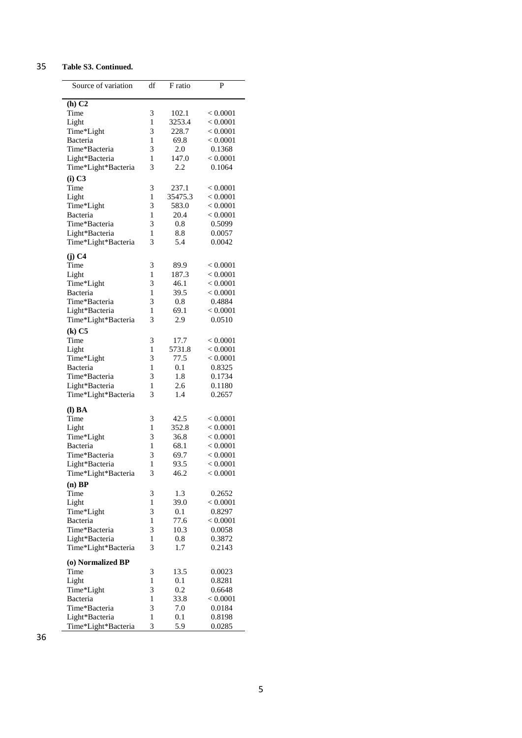## 35 **Table S3. Continued.**

| $(h)$ C <sub>2</sub><br>Time<br>3<br>102.1<br>< 0.0001<br>1<br>3253.4<br>Light<br>< 0.0001<br>3<br>Time*Light<br>228.7<br>< 0.0001<br>Bacteria<br>1<br>69.8<br>< 0.0001<br>3<br>Time*Bacteria<br>2.0<br>0.1368<br>1<br>147.0<br>Light*Bacteria<br>< 0.0001<br>Time*Light*Bacteria<br>3<br>2.2<br>0.1064<br>(i) C3<br>3<br>237.1<br>Time<br>< 0.0001<br>1<br>35475.3<br>< 0.0001<br>Light<br>Time*Light<br>3<br>583.0<br>< 0.0001<br>Bacteria<br>1<br>20.4<br>< 0.0001<br>3<br>Time*Bacteria<br>$0.8\,$<br>0.5099<br>Light*Bacteria<br>1<br>8.8<br>0.0057<br>3<br>Time*Light*Bacteria<br>5.4<br>0.0042<br>$(j)$ C <sub>4</sub><br>3<br>Time<br>< 0.0001<br>89.9<br>1<br>187.3<br>< 0.0001<br>Light<br>Time*Light<br>3<br>46.1<br>< 0.0001<br>Bacteria<br>1<br>39.5<br>< 0.0001<br>3<br>Time*Bacteria<br>0.8<br>0.4884<br>1<br>69.1<br>Light*Bacteria<br>< 0.0001<br>Time*Light*Bacteria<br>3<br>2.9<br>0.0510<br>$(k)$ C5<br>Time<br>3<br>17.7<br>< 0.0001<br>1<br>5731.8<br>Light<br>< 0.0001<br>3<br>Time*Light<br>77.5<br>< 0.0001<br>Bacteria<br>1<br>0.1<br>0.8325<br>3<br>Time*Bacteria<br>1.8<br>0.1734<br>Light*Bacteria<br>1<br>2.6<br>0.1180<br>3<br>Time*Light*Bacteria<br>1.4<br>0.2657<br>$(l)$ $BA$<br>3<br>42.5<br>< 0.0001<br>Time<br>1<br>352.8<br>< 0.0001<br>Light<br>3<br>Time*Light<br>< 0.0001<br>36.8<br>1<br>68.1<br>Bacteria<br>< 0.0001<br>Time*Bacteria<br>3<br>69.7<br>< 0.0001<br>1<br>93.5<br>< 0.0001<br>Light*Bacteria<br>Time*Light*Bacteria<br>3<br>46.2<br>< 0.0001<br>$(n)$ BP<br>3<br>Time<br>1.3<br>0.2652<br>Light<br>1<br>39.0<br>< 0.0001<br>3<br>Time*Light<br>0.1<br>0.8297<br>Bacteria<br>1<br>77.6<br>< 0.0001<br>3<br>Time*Bacteria<br>10.3<br>0.0058<br>Light*Bacteria<br>1<br>$0.8\,$<br>0.3872<br>3<br>Time*Light*Bacteria<br>1.7<br>0.2143<br>(o) Normalized BP<br>3<br>13.5<br>0.0023<br>Time<br>1<br>Light<br>0.1<br>0.8281<br>3<br>0.2<br>Time*Light<br>0.6648<br>1<br>33.8<br>< 0.0001<br>Bacteria<br>3<br>7.0<br>Time*Bacteria<br>0.0184 | Source of variation | df | F ratio | P      |
|------------------------------------------------------------------------------------------------------------------------------------------------------------------------------------------------------------------------------------------------------------------------------------------------------------------------------------------------------------------------------------------------------------------------------------------------------------------------------------------------------------------------------------------------------------------------------------------------------------------------------------------------------------------------------------------------------------------------------------------------------------------------------------------------------------------------------------------------------------------------------------------------------------------------------------------------------------------------------------------------------------------------------------------------------------------------------------------------------------------------------------------------------------------------------------------------------------------------------------------------------------------------------------------------------------------------------------------------------------------------------------------------------------------------------------------------------------------------------------------------------------------------------------------------------------------------------------------------------------------------------------------------------------------------------------------------------------------------------------------------------------------------------------------------------------------------------------------------------------------------------------------------------------------------------------------------------------------------------------------------|---------------------|----|---------|--------|
|                                                                                                                                                                                                                                                                                                                                                                                                                                                                                                                                                                                                                                                                                                                                                                                                                                                                                                                                                                                                                                                                                                                                                                                                                                                                                                                                                                                                                                                                                                                                                                                                                                                                                                                                                                                                                                                                                                                                                                                                |                     |    |         |        |
|                                                                                                                                                                                                                                                                                                                                                                                                                                                                                                                                                                                                                                                                                                                                                                                                                                                                                                                                                                                                                                                                                                                                                                                                                                                                                                                                                                                                                                                                                                                                                                                                                                                                                                                                                                                                                                                                                                                                                                                                |                     |    |         |        |
|                                                                                                                                                                                                                                                                                                                                                                                                                                                                                                                                                                                                                                                                                                                                                                                                                                                                                                                                                                                                                                                                                                                                                                                                                                                                                                                                                                                                                                                                                                                                                                                                                                                                                                                                                                                                                                                                                                                                                                                                |                     |    |         |        |
|                                                                                                                                                                                                                                                                                                                                                                                                                                                                                                                                                                                                                                                                                                                                                                                                                                                                                                                                                                                                                                                                                                                                                                                                                                                                                                                                                                                                                                                                                                                                                                                                                                                                                                                                                                                                                                                                                                                                                                                                |                     |    |         |        |
|                                                                                                                                                                                                                                                                                                                                                                                                                                                                                                                                                                                                                                                                                                                                                                                                                                                                                                                                                                                                                                                                                                                                                                                                                                                                                                                                                                                                                                                                                                                                                                                                                                                                                                                                                                                                                                                                                                                                                                                                |                     |    |         |        |
|                                                                                                                                                                                                                                                                                                                                                                                                                                                                                                                                                                                                                                                                                                                                                                                                                                                                                                                                                                                                                                                                                                                                                                                                                                                                                                                                                                                                                                                                                                                                                                                                                                                                                                                                                                                                                                                                                                                                                                                                |                     |    |         |        |
|                                                                                                                                                                                                                                                                                                                                                                                                                                                                                                                                                                                                                                                                                                                                                                                                                                                                                                                                                                                                                                                                                                                                                                                                                                                                                                                                                                                                                                                                                                                                                                                                                                                                                                                                                                                                                                                                                                                                                                                                |                     |    |         |        |
|                                                                                                                                                                                                                                                                                                                                                                                                                                                                                                                                                                                                                                                                                                                                                                                                                                                                                                                                                                                                                                                                                                                                                                                                                                                                                                                                                                                                                                                                                                                                                                                                                                                                                                                                                                                                                                                                                                                                                                                                |                     |    |         |        |
|                                                                                                                                                                                                                                                                                                                                                                                                                                                                                                                                                                                                                                                                                                                                                                                                                                                                                                                                                                                                                                                                                                                                                                                                                                                                                                                                                                                                                                                                                                                                                                                                                                                                                                                                                                                                                                                                                                                                                                                                |                     |    |         |        |
|                                                                                                                                                                                                                                                                                                                                                                                                                                                                                                                                                                                                                                                                                                                                                                                                                                                                                                                                                                                                                                                                                                                                                                                                                                                                                                                                                                                                                                                                                                                                                                                                                                                                                                                                                                                                                                                                                                                                                                                                |                     |    |         |        |
|                                                                                                                                                                                                                                                                                                                                                                                                                                                                                                                                                                                                                                                                                                                                                                                                                                                                                                                                                                                                                                                                                                                                                                                                                                                                                                                                                                                                                                                                                                                                                                                                                                                                                                                                                                                                                                                                                                                                                                                                |                     |    |         |        |
|                                                                                                                                                                                                                                                                                                                                                                                                                                                                                                                                                                                                                                                                                                                                                                                                                                                                                                                                                                                                                                                                                                                                                                                                                                                                                                                                                                                                                                                                                                                                                                                                                                                                                                                                                                                                                                                                                                                                                                                                |                     |    |         |        |
|                                                                                                                                                                                                                                                                                                                                                                                                                                                                                                                                                                                                                                                                                                                                                                                                                                                                                                                                                                                                                                                                                                                                                                                                                                                                                                                                                                                                                                                                                                                                                                                                                                                                                                                                                                                                                                                                                                                                                                                                |                     |    |         |        |
|                                                                                                                                                                                                                                                                                                                                                                                                                                                                                                                                                                                                                                                                                                                                                                                                                                                                                                                                                                                                                                                                                                                                                                                                                                                                                                                                                                                                                                                                                                                                                                                                                                                                                                                                                                                                                                                                                                                                                                                                |                     |    |         |        |
|                                                                                                                                                                                                                                                                                                                                                                                                                                                                                                                                                                                                                                                                                                                                                                                                                                                                                                                                                                                                                                                                                                                                                                                                                                                                                                                                                                                                                                                                                                                                                                                                                                                                                                                                                                                                                                                                                                                                                                                                |                     |    |         |        |
|                                                                                                                                                                                                                                                                                                                                                                                                                                                                                                                                                                                                                                                                                                                                                                                                                                                                                                                                                                                                                                                                                                                                                                                                                                                                                                                                                                                                                                                                                                                                                                                                                                                                                                                                                                                                                                                                                                                                                                                                |                     |    |         |        |
|                                                                                                                                                                                                                                                                                                                                                                                                                                                                                                                                                                                                                                                                                                                                                                                                                                                                                                                                                                                                                                                                                                                                                                                                                                                                                                                                                                                                                                                                                                                                                                                                                                                                                                                                                                                                                                                                                                                                                                                                |                     |    |         |        |
|                                                                                                                                                                                                                                                                                                                                                                                                                                                                                                                                                                                                                                                                                                                                                                                                                                                                                                                                                                                                                                                                                                                                                                                                                                                                                                                                                                                                                                                                                                                                                                                                                                                                                                                                                                                                                                                                                                                                                                                                |                     |    |         |        |
|                                                                                                                                                                                                                                                                                                                                                                                                                                                                                                                                                                                                                                                                                                                                                                                                                                                                                                                                                                                                                                                                                                                                                                                                                                                                                                                                                                                                                                                                                                                                                                                                                                                                                                                                                                                                                                                                                                                                                                                                |                     |    |         |        |
|                                                                                                                                                                                                                                                                                                                                                                                                                                                                                                                                                                                                                                                                                                                                                                                                                                                                                                                                                                                                                                                                                                                                                                                                                                                                                                                                                                                                                                                                                                                                                                                                                                                                                                                                                                                                                                                                                                                                                                                                |                     |    |         |        |
|                                                                                                                                                                                                                                                                                                                                                                                                                                                                                                                                                                                                                                                                                                                                                                                                                                                                                                                                                                                                                                                                                                                                                                                                                                                                                                                                                                                                                                                                                                                                                                                                                                                                                                                                                                                                                                                                                                                                                                                                |                     |    |         |        |
|                                                                                                                                                                                                                                                                                                                                                                                                                                                                                                                                                                                                                                                                                                                                                                                                                                                                                                                                                                                                                                                                                                                                                                                                                                                                                                                                                                                                                                                                                                                                                                                                                                                                                                                                                                                                                                                                                                                                                                                                |                     |    |         |        |
|                                                                                                                                                                                                                                                                                                                                                                                                                                                                                                                                                                                                                                                                                                                                                                                                                                                                                                                                                                                                                                                                                                                                                                                                                                                                                                                                                                                                                                                                                                                                                                                                                                                                                                                                                                                                                                                                                                                                                                                                |                     |    |         |        |
|                                                                                                                                                                                                                                                                                                                                                                                                                                                                                                                                                                                                                                                                                                                                                                                                                                                                                                                                                                                                                                                                                                                                                                                                                                                                                                                                                                                                                                                                                                                                                                                                                                                                                                                                                                                                                                                                                                                                                                                                |                     |    |         |        |
|                                                                                                                                                                                                                                                                                                                                                                                                                                                                                                                                                                                                                                                                                                                                                                                                                                                                                                                                                                                                                                                                                                                                                                                                                                                                                                                                                                                                                                                                                                                                                                                                                                                                                                                                                                                                                                                                                                                                                                                                |                     |    |         |        |
|                                                                                                                                                                                                                                                                                                                                                                                                                                                                                                                                                                                                                                                                                                                                                                                                                                                                                                                                                                                                                                                                                                                                                                                                                                                                                                                                                                                                                                                                                                                                                                                                                                                                                                                                                                                                                                                                                                                                                                                                |                     |    |         |        |
|                                                                                                                                                                                                                                                                                                                                                                                                                                                                                                                                                                                                                                                                                                                                                                                                                                                                                                                                                                                                                                                                                                                                                                                                                                                                                                                                                                                                                                                                                                                                                                                                                                                                                                                                                                                                                                                                                                                                                                                                |                     |    |         |        |
|                                                                                                                                                                                                                                                                                                                                                                                                                                                                                                                                                                                                                                                                                                                                                                                                                                                                                                                                                                                                                                                                                                                                                                                                                                                                                                                                                                                                                                                                                                                                                                                                                                                                                                                                                                                                                                                                                                                                                                                                |                     |    |         |        |
|                                                                                                                                                                                                                                                                                                                                                                                                                                                                                                                                                                                                                                                                                                                                                                                                                                                                                                                                                                                                                                                                                                                                                                                                                                                                                                                                                                                                                                                                                                                                                                                                                                                                                                                                                                                                                                                                                                                                                                                                |                     |    |         |        |
|                                                                                                                                                                                                                                                                                                                                                                                                                                                                                                                                                                                                                                                                                                                                                                                                                                                                                                                                                                                                                                                                                                                                                                                                                                                                                                                                                                                                                                                                                                                                                                                                                                                                                                                                                                                                                                                                                                                                                                                                |                     |    |         |        |
|                                                                                                                                                                                                                                                                                                                                                                                                                                                                                                                                                                                                                                                                                                                                                                                                                                                                                                                                                                                                                                                                                                                                                                                                                                                                                                                                                                                                                                                                                                                                                                                                                                                                                                                                                                                                                                                                                                                                                                                                |                     |    |         |        |
|                                                                                                                                                                                                                                                                                                                                                                                                                                                                                                                                                                                                                                                                                                                                                                                                                                                                                                                                                                                                                                                                                                                                                                                                                                                                                                                                                                                                                                                                                                                                                                                                                                                                                                                                                                                                                                                                                                                                                                                                |                     |    |         |        |
|                                                                                                                                                                                                                                                                                                                                                                                                                                                                                                                                                                                                                                                                                                                                                                                                                                                                                                                                                                                                                                                                                                                                                                                                                                                                                                                                                                                                                                                                                                                                                                                                                                                                                                                                                                                                                                                                                                                                                                                                |                     |    |         |        |
|                                                                                                                                                                                                                                                                                                                                                                                                                                                                                                                                                                                                                                                                                                                                                                                                                                                                                                                                                                                                                                                                                                                                                                                                                                                                                                                                                                                                                                                                                                                                                                                                                                                                                                                                                                                                                                                                                                                                                                                                |                     |    |         |        |
|                                                                                                                                                                                                                                                                                                                                                                                                                                                                                                                                                                                                                                                                                                                                                                                                                                                                                                                                                                                                                                                                                                                                                                                                                                                                                                                                                                                                                                                                                                                                                                                                                                                                                                                                                                                                                                                                                                                                                                                                |                     |    |         |        |
|                                                                                                                                                                                                                                                                                                                                                                                                                                                                                                                                                                                                                                                                                                                                                                                                                                                                                                                                                                                                                                                                                                                                                                                                                                                                                                                                                                                                                                                                                                                                                                                                                                                                                                                                                                                                                                                                                                                                                                                                |                     |    |         |        |
|                                                                                                                                                                                                                                                                                                                                                                                                                                                                                                                                                                                                                                                                                                                                                                                                                                                                                                                                                                                                                                                                                                                                                                                                                                                                                                                                                                                                                                                                                                                                                                                                                                                                                                                                                                                                                                                                                                                                                                                                |                     |    |         |        |
|                                                                                                                                                                                                                                                                                                                                                                                                                                                                                                                                                                                                                                                                                                                                                                                                                                                                                                                                                                                                                                                                                                                                                                                                                                                                                                                                                                                                                                                                                                                                                                                                                                                                                                                                                                                                                                                                                                                                                                                                |                     |    |         |        |
|                                                                                                                                                                                                                                                                                                                                                                                                                                                                                                                                                                                                                                                                                                                                                                                                                                                                                                                                                                                                                                                                                                                                                                                                                                                                                                                                                                                                                                                                                                                                                                                                                                                                                                                                                                                                                                                                                                                                                                                                |                     |    |         |        |
|                                                                                                                                                                                                                                                                                                                                                                                                                                                                                                                                                                                                                                                                                                                                                                                                                                                                                                                                                                                                                                                                                                                                                                                                                                                                                                                                                                                                                                                                                                                                                                                                                                                                                                                                                                                                                                                                                                                                                                                                |                     |    |         |        |
|                                                                                                                                                                                                                                                                                                                                                                                                                                                                                                                                                                                                                                                                                                                                                                                                                                                                                                                                                                                                                                                                                                                                                                                                                                                                                                                                                                                                                                                                                                                                                                                                                                                                                                                                                                                                                                                                                                                                                                                                |                     |    |         |        |
|                                                                                                                                                                                                                                                                                                                                                                                                                                                                                                                                                                                                                                                                                                                                                                                                                                                                                                                                                                                                                                                                                                                                                                                                                                                                                                                                                                                                                                                                                                                                                                                                                                                                                                                                                                                                                                                                                                                                                                                                |                     |    |         |        |
|                                                                                                                                                                                                                                                                                                                                                                                                                                                                                                                                                                                                                                                                                                                                                                                                                                                                                                                                                                                                                                                                                                                                                                                                                                                                                                                                                                                                                                                                                                                                                                                                                                                                                                                                                                                                                                                                                                                                                                                                |                     |    |         |        |
|                                                                                                                                                                                                                                                                                                                                                                                                                                                                                                                                                                                                                                                                                                                                                                                                                                                                                                                                                                                                                                                                                                                                                                                                                                                                                                                                                                                                                                                                                                                                                                                                                                                                                                                                                                                                                                                                                                                                                                                                |                     |    |         |        |
|                                                                                                                                                                                                                                                                                                                                                                                                                                                                                                                                                                                                                                                                                                                                                                                                                                                                                                                                                                                                                                                                                                                                                                                                                                                                                                                                                                                                                                                                                                                                                                                                                                                                                                                                                                                                                                                                                                                                                                                                |                     |    |         |        |
|                                                                                                                                                                                                                                                                                                                                                                                                                                                                                                                                                                                                                                                                                                                                                                                                                                                                                                                                                                                                                                                                                                                                                                                                                                                                                                                                                                                                                                                                                                                                                                                                                                                                                                                                                                                                                                                                                                                                                                                                |                     |    |         |        |
|                                                                                                                                                                                                                                                                                                                                                                                                                                                                                                                                                                                                                                                                                                                                                                                                                                                                                                                                                                                                                                                                                                                                                                                                                                                                                                                                                                                                                                                                                                                                                                                                                                                                                                                                                                                                                                                                                                                                                                                                |                     |    |         |        |
|                                                                                                                                                                                                                                                                                                                                                                                                                                                                                                                                                                                                                                                                                                                                                                                                                                                                                                                                                                                                                                                                                                                                                                                                                                                                                                                                                                                                                                                                                                                                                                                                                                                                                                                                                                                                                                                                                                                                                                                                |                     |    |         |        |
|                                                                                                                                                                                                                                                                                                                                                                                                                                                                                                                                                                                                                                                                                                                                                                                                                                                                                                                                                                                                                                                                                                                                                                                                                                                                                                                                                                                                                                                                                                                                                                                                                                                                                                                                                                                                                                                                                                                                                                                                |                     |    |         |        |
|                                                                                                                                                                                                                                                                                                                                                                                                                                                                                                                                                                                                                                                                                                                                                                                                                                                                                                                                                                                                                                                                                                                                                                                                                                                                                                                                                                                                                                                                                                                                                                                                                                                                                                                                                                                                                                                                                                                                                                                                |                     |    |         |        |
|                                                                                                                                                                                                                                                                                                                                                                                                                                                                                                                                                                                                                                                                                                                                                                                                                                                                                                                                                                                                                                                                                                                                                                                                                                                                                                                                                                                                                                                                                                                                                                                                                                                                                                                                                                                                                                                                                                                                                                                                |                     |    |         |        |
|                                                                                                                                                                                                                                                                                                                                                                                                                                                                                                                                                                                                                                                                                                                                                                                                                                                                                                                                                                                                                                                                                                                                                                                                                                                                                                                                                                                                                                                                                                                                                                                                                                                                                                                                                                                                                                                                                                                                                                                                |                     |    |         |        |
|                                                                                                                                                                                                                                                                                                                                                                                                                                                                                                                                                                                                                                                                                                                                                                                                                                                                                                                                                                                                                                                                                                                                                                                                                                                                                                                                                                                                                                                                                                                                                                                                                                                                                                                                                                                                                                                                                                                                                                                                |                     |    |         |        |
|                                                                                                                                                                                                                                                                                                                                                                                                                                                                                                                                                                                                                                                                                                                                                                                                                                                                                                                                                                                                                                                                                                                                                                                                                                                                                                                                                                                                                                                                                                                                                                                                                                                                                                                                                                                                                                                                                                                                                                                                |                     |    |         |        |
|                                                                                                                                                                                                                                                                                                                                                                                                                                                                                                                                                                                                                                                                                                                                                                                                                                                                                                                                                                                                                                                                                                                                                                                                                                                                                                                                                                                                                                                                                                                                                                                                                                                                                                                                                                                                                                                                                                                                                                                                |                     |    |         |        |
|                                                                                                                                                                                                                                                                                                                                                                                                                                                                                                                                                                                                                                                                                                                                                                                                                                                                                                                                                                                                                                                                                                                                                                                                                                                                                                                                                                                                                                                                                                                                                                                                                                                                                                                                                                                                                                                                                                                                                                                                |                     |    |         |        |
|                                                                                                                                                                                                                                                                                                                                                                                                                                                                                                                                                                                                                                                                                                                                                                                                                                                                                                                                                                                                                                                                                                                                                                                                                                                                                                                                                                                                                                                                                                                                                                                                                                                                                                                                                                                                                                                                                                                                                                                                |                     |    |         |        |
|                                                                                                                                                                                                                                                                                                                                                                                                                                                                                                                                                                                                                                                                                                                                                                                                                                                                                                                                                                                                                                                                                                                                                                                                                                                                                                                                                                                                                                                                                                                                                                                                                                                                                                                                                                                                                                                                                                                                                                                                |                     |    |         |        |
|                                                                                                                                                                                                                                                                                                                                                                                                                                                                                                                                                                                                                                                                                                                                                                                                                                                                                                                                                                                                                                                                                                                                                                                                                                                                                                                                                                                                                                                                                                                                                                                                                                                                                                                                                                                                                                                                                                                                                                                                |                     |    |         |        |
|                                                                                                                                                                                                                                                                                                                                                                                                                                                                                                                                                                                                                                                                                                                                                                                                                                                                                                                                                                                                                                                                                                                                                                                                                                                                                                                                                                                                                                                                                                                                                                                                                                                                                                                                                                                                                                                                                                                                                                                                | Light*Bacteria      | 1  | 0.1     | 0.8198 |
| 3<br>Time*Light*Bacteria<br>5.9<br>0.0285                                                                                                                                                                                                                                                                                                                                                                                                                                                                                                                                                                                                                                                                                                                                                                                                                                                                                                                                                                                                                                                                                                                                                                                                                                                                                                                                                                                                                                                                                                                                                                                                                                                                                                                                                                                                                                                                                                                                                      |                     |    |         |        |

36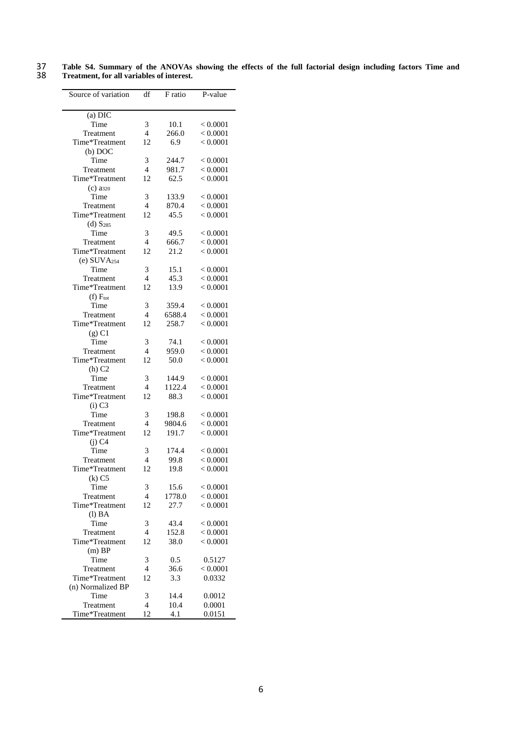| Source of variation     | df                       | F ratio | P-value  |
|-------------------------|--------------------------|---------|----------|
|                         |                          |         |          |
| $(a)$ DIC               |                          |         |          |
| Time                    | 3                        | 10.1    | < 0.0001 |
| Treatment               | $\overline{\mathcal{L}}$ | 266.0   | < 0.0001 |
| Time*Treatment          | 12                       | 6.9     | < 0.0001 |
| (b) DOC                 |                          |         |          |
| Time                    | 3                        | 244.7   | < 0.0001 |
| Treatment               | 4                        | 981.7   | < 0.0001 |
| Time*Treatment          | 12                       | 62.5    | < 0.0001 |
| $(c)$ a <sub>320</sub>  |                          |         |          |
| Time                    | 3                        | 133.9   | < 0.0001 |
| Treatment               | 4                        | 870.4   | < 0.0001 |
| Time*Treatment          | 12                       | 45.5    | < 0.0001 |
| $(d)$ S <sub>285</sub>  |                          |         |          |
| Time                    | 3                        | 49.5    | < 0.0001 |
| Treatment               | 4                        | 666.7   | < 0.0001 |
| Time*Treatment          | 12                       | 21.2    | < 0.0001 |
| (e) $\text{SUVA}_{254}$ |                          |         |          |
| Time                    | 3                        | 15.1    | < 0.0001 |
| Treatment               | 4                        | 45.3    | < 0.0001 |
| Time*Treatment          | 12                       | 13.9    | < 0.0001 |
| $(f) F_{tot}$           |                          |         |          |
| Time                    | 3                        | 359.4   | < 0.0001 |
| Treatment               | 4                        | 6588.4  | < 0.0001 |
| Time*Treatment          | 12                       | 258.7   | < 0.0001 |
| $(g)$ C1                |                          |         |          |
| Time                    | 3                        | 74.1    | < 0.0001 |
| Treatment               | $\overline{4}$           | 959.0   | < 0.0001 |
| Time*Treatment          | 12                       | 50.0    | < 0.0001 |
| $(h)$ C <sub>2</sub>    |                          |         |          |
| Time                    | 3                        | 144.9   | < 0.0001 |
| Treatment               | $\overline{4}$           | 1122.4  | < 0.0001 |
| Time*Treatment          | 12                       | 88.3    | < 0.0001 |
| (i) C3                  |                          |         |          |
| Time                    | 3                        | 198.8   | < 0.0001 |
| Treatment               | $\overline{4}$           | 9804.6  | < 0.0001 |
| Time*Treatment          | 12                       | 191.7   | < 0.0001 |
| $(j)$ C <sub>4</sub>    |                          |         |          |
| Time                    | 3                        | 174.4   | < 0.0001 |
| Treatment               | $\overline{4}$           | 99.8    | < 0.0001 |
| Time*Treatment          | 12                       | 19.8    | < 0.0001 |
| $(k)$ C5                |                          |         |          |
| Time                    | 3                        | 15.6    | < 0.0001 |
| Treatment               | 4                        | 1778.0  | < 0.0001 |
| Time*Treatment          | 12                       | 27.7    | < 0.0001 |
| (l) BA                  |                          |         |          |
| Time                    | 3                        | 43.4    | < 0.0001 |
| Treatment               | 4                        | 152.8   | < 0.0001 |
| Time*Treatment          | 12                       | 38.0    | < 0.0001 |
| $(m)$ BP                |                          |         |          |
| Time                    | 3                        | 0.5     | 0.5127   |
| Treatment               | 4                        | 36.6    | < 0.0001 |
| Time*Treatment          | 12                       | 3.3     | 0.0332   |
| (n) Normalized BP       |                          |         |          |
| Time                    | 3                        | 14.4    | 0.0012   |
| Treatment               | 4                        | 10.4    | 0.0001   |
| Time*Treatment          | 12                       | 4.1     | 0.0151   |

37 **Table S4. Summary of the ANOVAs showing the effects of the full factorial design including factors Time and**  38 **Treatment, for all variables of interest.**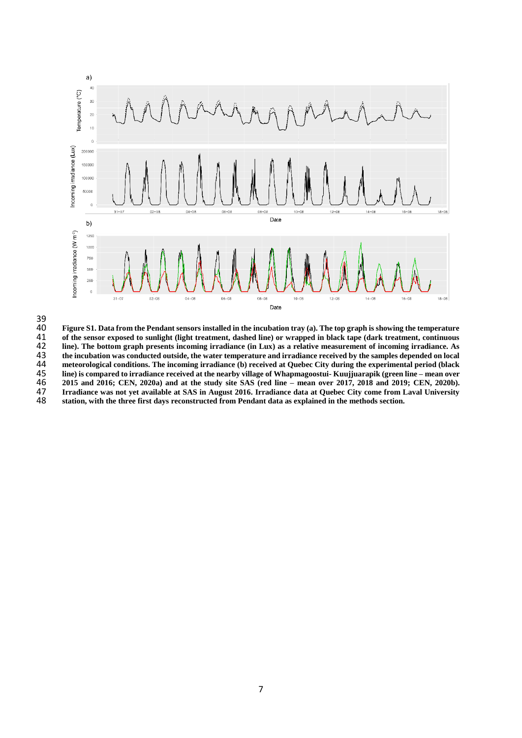



39<br>40<br>41<br>42<br>43 **Figure S1. Data from the Pendant sensors installed in the incubation tray (a). The top graph is showing the temperature of the sensor exposed to sunlight (light treatment, dashed line) or wrapped in black tape (dark treatment, continuous line). The bottom graph presents incoming irradiance (in Lux) as a relative measurement of incoming irradiance. As**  the incubation was conducted outside, the water temperature and irradiance received by the samples depended on local<br>meteorological conditions. The incoming irradiance (b) received at Quebec City during the experimental pe **meteorological conditions. The incoming irradiance (b) received at Quebec City during the experimental period (black line) is compared to irradiance received at the nearby village of Whapmagoostui- Kuujjuarapik (green line – mean over 2015 and 2016; CEN, 2020a) and at the study site SAS (red line – mean over 2017, 2018 and 2019; CEN, 2020b). Irradiance was not yet available at SAS in August 2016. Irradiance data at Quebec City come from Laval University station, with the three first days reconstructed from Pendant data as explained in the methods section.**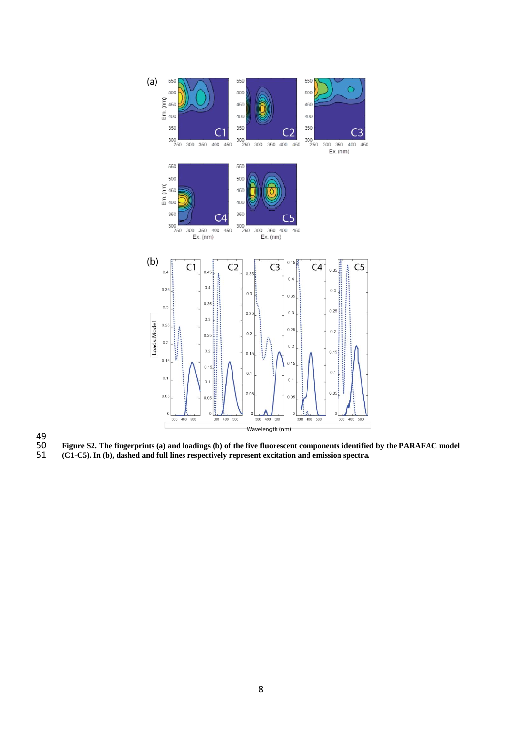

49<br>50<br>51 **Figure S2. The fingerprints (a) and loadings (b) of the five fluorescent components identified by the PARAFAC model** 

**(C1-C5). In (b), dashed and full lines respectively represent excitation and emission spectra.**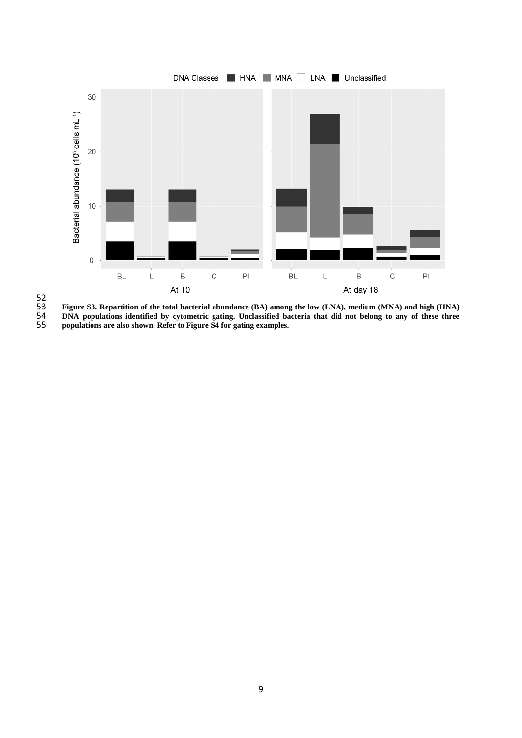

52<br>53<br>54<br>55 **Figure S3. Repartition of the total bacterial abundance (BA) among the low (LNA), medium (MNA) and high (HNA) DNA populations identified by cytometric gating. Unclassified bacteria that did not belong to any of these three populations are also shown. Refer to Figure S4 for gating examples.**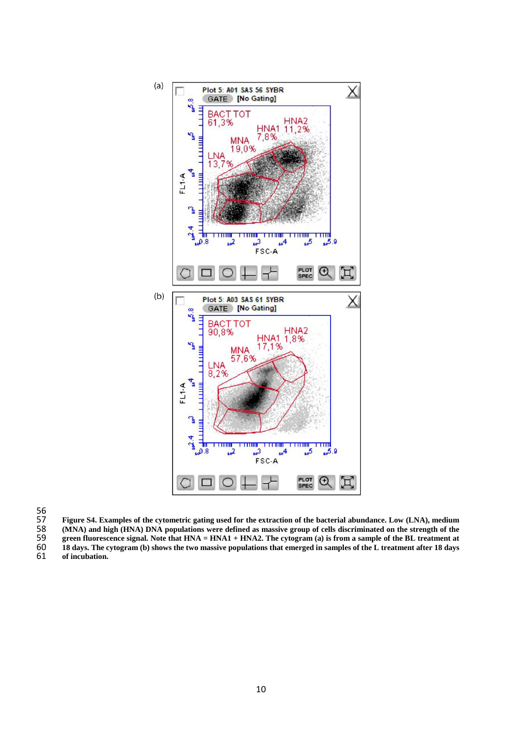

- 56<br>57<br>58<br>59 57 **Figure S4. Examples of the cytometric gating used for the extraction of the bacterial abundance. Low (LNA), medium**
- (MNA) and high (HNA) DNA populations were defined as massive group of cells discriminated on the strength of the
- 59 green fluorescence signal. Note that HNA = HNA1 + HNA2. The cytogram (a) is from a sample of the BL treatment at <br>60 18 days. The cytogram (b) shows the two massive populations that emerged in samples of the L treatment 60 **18 days. The cytogram (b) shows the two massive populations that emerged in samples of the L treatment after 18 days**
- 61 **of incubation.**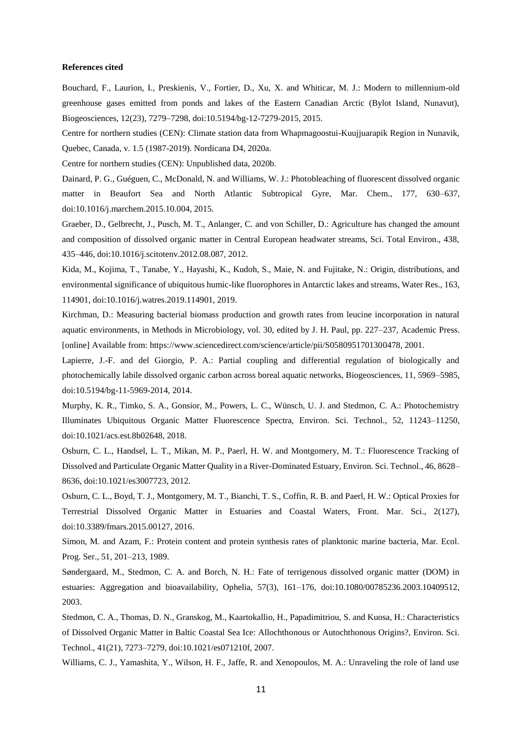## **References cited**

Bouchard, F., Laurion, I., Preskienis, V., Fortier, D., Xu, X. and Whiticar, M. J.: Modern to millennium-old greenhouse gases emitted from ponds and lakes of the Eastern Canadian Arctic (Bylot Island, Nunavut), Biogeosciences, 12(23), 7279–7298, doi:10.5194/bg-12-7279-2015, 2015.

Centre for northern studies (CEN): Climate station data from Whapmagoostui-Kuujjuarapik Region in Nunavik, Quebec, Canada, v. 1.5 (1987-2019). Nordicana D4, 2020a.

Centre for northern studies (CEN): Unpublished data, 2020b.

Dainard, P. G., Guéguen, C., McDonald, N. and Williams, W. J.: Photobleaching of fluorescent dissolved organic matter in Beaufort Sea and North Atlantic Subtropical Gyre, Mar. Chem., 177, 630–637, doi:10.1016/j.marchem.2015.10.004, 2015.

Graeber, D., Gelbrecht, J., Pusch, M. T., Anlanger, C. and von Schiller, D.: Agriculture has changed the amount and composition of dissolved organic matter in Central European headwater streams, Sci. Total Environ., 438, 435–446, doi:10.1016/j.scitotenv.2012.08.087, 2012.

Kida, M., Kojima, T., Tanabe, Y., Hayashi, K., Kudoh, S., Maie, N. and Fujitake, N.: Origin, distributions, and environmental significance of ubiquitous humic-like fluorophores in Antarctic lakes and streams, Water Res., 163, 114901, doi:10.1016/j.watres.2019.114901, 2019.

Kirchman, D.: Measuring bacterial biomass production and growth rates from leucine incorporation in natural aquatic environments, in Methods in Microbiology, vol. 30, edited by J. H. Paul, pp. 227–237, Academic Press. [online] Available from: https://www.sciencedirect.com/science/article/pii/S0580951701300478, 2001.

Lapierre, J.-F. and del Giorgio, P. A.: Partial coupling and differential regulation of biologically and photochemically labile dissolved organic carbon across boreal aquatic networks, Biogeosciences, 11, 5969–5985, doi:10.5194/bg-11-5969-2014, 2014.

Murphy, K. R., Timko, S. A., Gonsior, M., Powers, L. C., Wünsch, U. J. and Stedmon, C. A.: Photochemistry Illuminates Ubiquitous Organic Matter Fluorescence Spectra, Environ. Sci. Technol., 52, 11243–11250, doi:10.1021/acs.est.8b02648, 2018.

Osburn, C. L., Handsel, L. T., Mikan, M. P., Paerl, H. W. and Montgomery, M. T.: Fluorescence Tracking of Dissolved and Particulate Organic Matter Quality in a River-Dominated Estuary, Environ. Sci. Technol., 46, 8628– 8636, doi:10.1021/es3007723, 2012.

Osburn, C. L., Boyd, T. J., Montgomery, M. T., Bianchi, T. S., Coffin, R. B. and Paerl, H. W.: Optical Proxies for Terrestrial Dissolved Organic Matter in Estuaries and Coastal Waters, Front. Mar. Sci., 2(127), doi:10.3389/fmars.2015.00127, 2016.

Simon, M. and Azam, F.: Protein content and protein synthesis rates of planktonic marine bacteria, Mar. Ecol. Prog. Ser., 51, 201–213, 1989.

Søndergaard, M., Stedmon, C. A. and Borch, N. H.: Fate of terrigenous dissolved organic matter (DOM) in estuaries: Aggregation and bioavailability, Ophelia, 57(3), 161–176, doi:10.1080/00785236.2003.10409512, 2003.

Stedmon, C. A., Thomas, D. N., Granskog, M., Kaartokallio, H., Papadimitriou, S. and Kuosa, H.: Characteristics of Dissolved Organic Matter in Baltic Coastal Sea Ice: Allochthonous or Autochthonous Origins?, Environ. Sci. Technol., 41(21), 7273–7279, doi:10.1021/es071210f, 2007.

Williams, C. J., Yamashita, Y., Wilson, H. F., Jaffe, R. and Xenopoulos, M. A.: Unraveling the role of land use